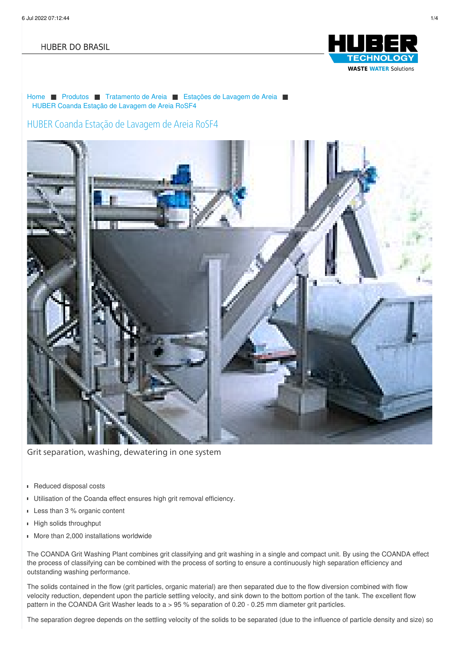#### **HUBER DO BRASIL**



[Home](/br.html) ■ [Produtos](/br/produtos.html) ■ [Tratamento](/br/produtos/tratamento-de-areia.html) de Areia ■ [Estações](/br/produtos/tratamento-de-areia/estacoes-de-lavagem-de-areia.html) de Lavagem de Areia ■ HUBER Coanda Estação de [Lavagem](/br/produtos/tratamento-de-areia/estacoes-de-lavagem-de-areia/huber-coanda-estacao-de-lavagem-de-areia-rosf4.html) de Areia RoSF4

### HUBER Coanda Estação de Lavagem de Areia RoSF4



Grit separation, washing, dewatering in one system

- Reduced disposal costs  $\blacksquare$
- Utilisation of the Coanda effect ensures high grit removal efficiency.
- Less than 3 % organic content
- **High solids throughput**
- More than 2,000 installations worldwide

The COANDA Grit Washing Plant combines grit classifying and grit washing in a single and compact unit. By using the COANDA effect the process of classifying can be combined with the process of sorting to ensure a continuously high separation efficiency and outstanding washing performance.

The solids contained in the flow (grit particles, organic material) are then separated due to the flow diversion combined with flow velocity reduction, dependent upon the particle settling velocity, and sink down to the bottom portion of the tank. The excellent flow pattern in the COANDA Grit Washer leads to a > 95 % separation of 0.20 - 0.25 mm diameter grit particles.

The separation degree depends on the settling velocity of the solids to be separated (due to the influence of particle density and size) so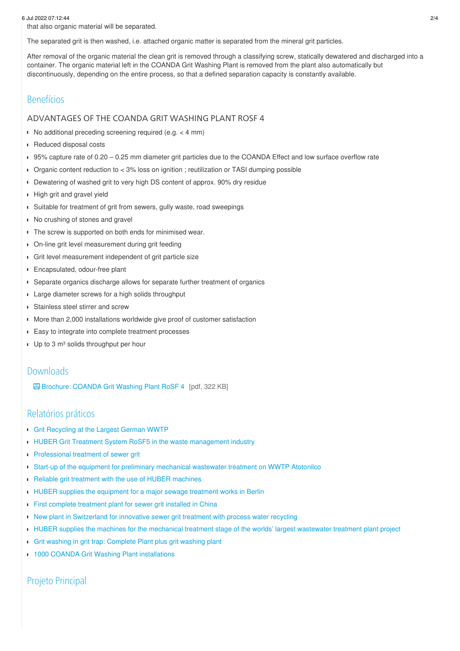6 Jul 2022 07:12:44 2/4

that also organic material will be separated.

The separated grit is then washed, i.e. attached organic matter is separated from the mineral grit particles.

After removal of the organic material the clean grit is removed through a classifying screw, statically dewatered and discharged into a container. The organic material left in the COANDA Grit Washing Plant is removed from the plant also automatically but discontinuously, depending on the entire process, so that a defined separation capacity is constantly available.

## Benefícios

#### ADVANTAGES OF THE COANDA GRIT WASHING PLANT ROSF 4

No additional preceding screening required (e.g.  $<$  4 mm)

- Reduced disposal costs  $\blacksquare$
- 95% capture rate of 0.20 0.25 mm diameter grit particles due to the COANDA Effect and low surface overflow rate
- Organic content reduction to < 3% loss on ignition ; reutilization or TASI dumping possible
- Dewatering of washed grit to very high DS content of approx. 90% dry residue
- **High grit and gravel yield**
- Suitable for treatment of grit from sewers, gully waste, road sweepings
- No crushing of stones and gravel
- The screw is supported on both ends for minimised wear.
- **D**n-line grit level measurement during grit feeding
- Grit level measurement independent of grit particle size
- Encapsulated, odour-free plant ×
- Separate organics discharge allows for separate further treatment of organics
- Large diameter screws for a high solids throughput
- **Stainless steel stirrer and screw**
- More than 2,000 installations worldwide give proof of customer satisfaction
- **Easy to integrate into complete treatment processes**
- Up to 3 m<sup>3</sup> solids throughput per hour

### Downloads

[Brochure:](/fileadmin/01_products/03_grit/05_sandwaescher/01_rosf4/pro_rosf4_en.pdf) COANDA Grit Washing Plant RoSF 4 [pdf, 322 KB]

## Relatórios práticos

- Grit [Recycling](/br/huber-report/ablage-berichte/grit-separation-and-treatment/grit-recycling-at-the-largest-german-wwtp.html) at the Largest German WWTP
- **HUBER Grit Treatment System RoSF5 in the waste [management](/br/huber-report/ablage-berichte/industry/huber-grit-treatment-system-rosf5-in-the-waste-management-industry.html) industry**
- **[Professional](/br/huber-report/ablage-berichte/grit-separation-and-treatment/professional-treatment-of-sewer-grit.html) treatment of sewer grit**
- Start-up of the equipment for preliminary [mechanical](/br/huber-report/ablage-berichte/screens/start-up-of-the-equipment-for-preliminary-mechanical-wastewater-treatment-on-wwtp-atotonilco.html) wastewater treatment on WWTP Atotonilco
- j. Reliable grit treatment with the use of HUBER [machines](/br/huber-report/ablage-berichte/grit-separation-and-treatment/reliable-grit-treatment-with-the-use-of-huber-machines.html)
- **HUBER** supplies the [equipment](/br/huber-report/ablage-berichte/screens/huber-supplies-the-equipment-for-a-major-sewage-treatment-works-in-berlin.html) for a major sewage treatment works in Berlin
- First complete [treatment](/br/huber-report/ablage-berichte/newsletter-ext/huber-rosf5-process-at-on-stp-qinghe-beijing.html) plant for sewer grit installed in China
- New plant in [Switzerland](/br/huber-report/ablage-berichte/industry/new-plant-in-switzerland-for-innovative-sewer-grit-treatment-with-process-water-recycling.html) for innovative sewer grit treatment with process water recycling
- **HUBER supplies the machines for the [mechanical](/br/huber-report/ablage-berichte/screens/huber-supplies-the-machines-for-the-mechanical-treatment-stage-of-the-worlds-largest-wastewater-treatment-plant-project.html) treatment stage of the worlds' largest wastewater treatment plant project**
- Grit washing in grit trap: [Complete](/br/huber-report/ablage-berichte/grit-separation-and-treatment/grit-washing-in-grit-trap-complete-plant-plus-grit-washing-plant.html) Plant plus grit washing plant
- **1000 COANDA Grit Washing Plant [installations](/br/huber-report/ablage-berichte/grit-separation-and-treatment/1000-coanda-grit-washing-plant-installations.html)**

## Projeto Principal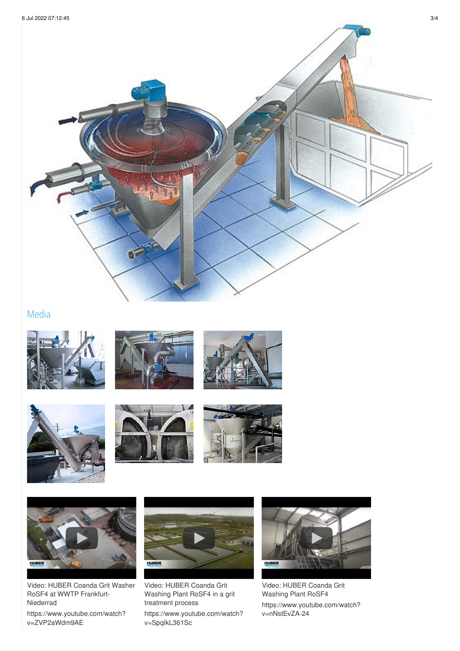

# Media















Video: HUBER Coanda Grit Washer RoSF4 at WWTP Frankfurt-Niederrad

[https://www.youtube.com/watch?](https://www.youtube.com/watch?v=ZVP2aWdm9AE&start=125&end=197) v=ZVP2aWdm9AE



Video: HUBER Coanda Grit Washing Plant RoSF4 in a grit treatment process

[https://www.youtube.com/watch?](https://www.youtube.com/watch?v=SpqIkL361Sc&start=237&end=288) v=SpqIkL361Sc



Video: HUBER Coanda Grit Washing Plant RoSF4 [https://www.youtube.com/watch?](https://www.youtube.com/watch?v=nNstEvZA-24&start=125&end=161) v=nNstEvZA-24